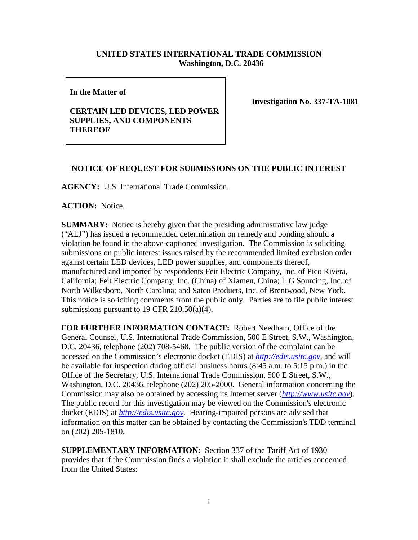# **UNITED STATES INTERNATIONAL TRADE COMMISSION Washington, D.C. 20436**

**In the Matter of** 

## **CERTAIN LED DEVICES, LED POWER SUPPLIES, AND COMPONENTS THEREOF**

**Investigation No. 337-TA-1081**

## **NOTICE OF REQUEST FOR SUBMISSIONS ON THE PUBLIC INTEREST**

**AGENCY:** U.S. International Trade Commission.

### **ACTION:** Notice.

**SUMMARY:** Notice is hereby given that the presiding administrative law judge ("ALJ") has issued a recommended determination on remedy and bonding should a violation be found in the above-captioned investigation. The Commission is soliciting submissions on public interest issues raised by the recommended limited exclusion order against certain LED devices, LED power supplies, and components thereof, manufactured and imported by respondents Feit Electric Company, Inc. of Pico Rivera, California; Feit Electric Company, Inc. (China) of Xiamen, China; L G Sourcing, Inc. of North Wilkesboro, North Carolina; and Satco Products, Inc. of Brentwood, New York. This notice is soliciting comments from the public only. Parties are to file public interest submissions pursuant to 19 CFR 210.50(a)(4).

**FOR FURTHER INFORMATION CONTACT:** Robert Needham, Office of the General Counsel, U.S. International Trade Commission, 500 E Street, S.W., Washington, D.C. 20436, telephone (202) 708-5468. The public version of the complaint can be accessed on the Commission's electronic docket (EDIS) at *[http://edis.usitc.gov](http://edis.usitc.gov/)*, and will be available for inspection during official business hours (8:45 a.m. to 5:15 p.m.) in the Office of the Secretary, U.S. International Trade Commission, 500 E Street, S.W., Washington, D.C. 20436, telephone (202) 205-2000. General information concerning the Commission may also be obtained by accessing its Internet server (*[http://www.usitc.gov](http://www.usitc.gov/)*). The public record for this investigation may be viewed on the Commission's electronic docket (EDIS) at *[http://edis.usitc.gov.](http://edis.usitc.gov/)* Hearing-impaired persons are advised that information on this matter can be obtained by contacting the Commission's TDD terminal on (202) 205-1810.

**SUPPLEMENTARY INFORMATION:** Section 337 of the Tariff Act of 1930 provides that if the Commission finds a violation it shall exclude the articles concerned from the United States: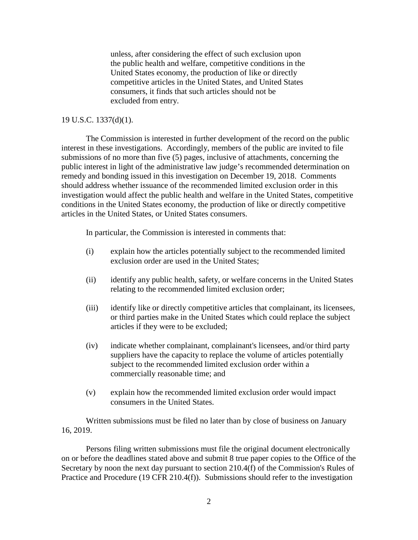unless, after considering the effect of such exclusion upon the public health and welfare, competitive conditions in the United States economy, the production of like or directly competitive articles in the United States, and United States consumers, it finds that such articles should not be excluded from entry.

### 19 U.S.C. 1337(d)(1).

The Commission is interested in further development of the record on the public interest in these investigations. Accordingly, members of the public are invited to file submissions of no more than five (5) pages, inclusive of attachments, concerning the public interest in light of the administrative law judge's recommended determination on remedy and bonding issued in this investigation on December 19, 2018.Comments should address whether issuance of the recommended limited exclusion order in this investigation would affect the public health and welfare in the United States, competitive conditions in the United States economy, the production of like or directly competitive articles in the United States, or United States consumers.

In particular, the Commission is interested in comments that:

- (i) explain how the articles potentially subject to the recommended limited exclusion order are used in the United States;
- (ii) identify any public health, safety, or welfare concerns in the United States relating to the recommended limited exclusion order;
- (iii) identify like or directly competitive articles that complainant, its licensees, or third parties make in the United States which could replace the subject articles if they were to be excluded;
- (iv) indicate whether complainant, complainant's licensees, and/or third party suppliers have the capacity to replace the volume of articles potentially subject to the recommended limited exclusion order within a commercially reasonable time; and
- (v) explain how the recommended limited exclusion order would impact consumers in the United States.

Written submissions must be filed no later than by close of business on January 16, 2019.

Persons filing written submissions must file the original document electronically on or before the deadlines stated above and submit 8 true paper copies to the Office of the Secretary by noon the next day pursuant to section 210.4(f) of the Commission's Rules of Practice and Procedure (19 CFR 210.4(f)). Submissions should refer to the investigation